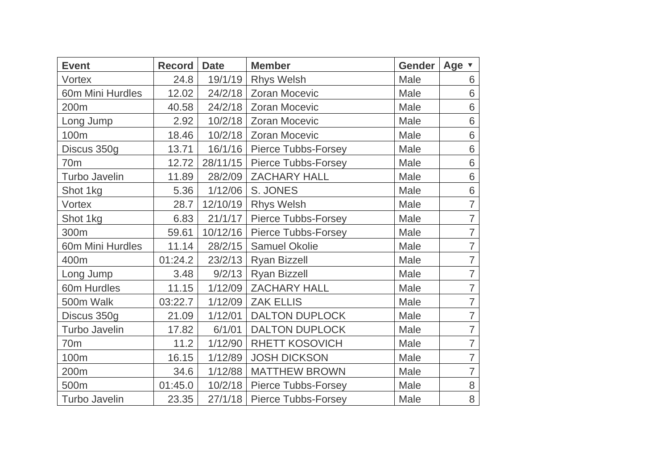| <b>Event</b>         | <b>Record</b> | <b>Date</b> | <b>Member</b>                 | <b>Gender</b> | Age v          |
|----------------------|---------------|-------------|-------------------------------|---------------|----------------|
| Vortex               | 24.8          | 19/1/19     | <b>Rhys Welsh</b>             | Male          | 6              |
| 60m Mini Hurdles     | 12.02         | 24/2/18     | <b>Zoran Mocevic</b>          | Male          | 6              |
| 200m                 | 40.58         | 24/2/18     | <b>Zoran Mocevic</b>          | Male          | 6              |
| Long Jump            | 2.92          | 10/2/18     | <b>Zoran Mocevic</b>          | Male          | 6              |
| 100m                 | 18.46         | 10/2/18     | <b>Zoran Mocevic</b>          | Male          | 6              |
| Discus 350g          | 13.71         | 16/1/16     | <b>Pierce Tubbs-Forsey</b>    | Male          | 6              |
| 70 <sub>m</sub>      | 12.72         | 28/11/15    | <b>Pierce Tubbs-Forsey</b>    | Male          | 6              |
| <b>Turbo Javelin</b> | 11.89         | 28/2/09     | <b>ZACHARY HALL</b>           | Male          | 6              |
| Shot 1kg             | 5.36          | 1/12/06     | S. JONES                      | Male          | 6              |
| Vortex               | 28.7          | 12/10/19    | <b>Rhys Welsh</b>             | Male          | $\overline{7}$ |
| Shot 1kg             | 6.83          | 21/1/17     | <b>Pierce Tubbs-Forsey</b>    | Male          | $\overline{7}$ |
| 300m                 | 59.61         | 10/12/16    | Pierce Tubbs-Forsey           | Male          | $\overline{7}$ |
| 60m Mini Hurdles     | 11.14         | 28/2/15     | Samuel Okolie                 | Male          | $\overline{7}$ |
| 400m                 | 01:24.2       | 23/2/13     | <b>Ryan Bizzell</b>           | Male          | $\overline{7}$ |
| Long Jump            | 3.48          | 9/2/13      | <b>Ryan Bizzell</b>           | Male          | $\overline{7}$ |
| 60m Hurdles          | 11.15         | 1/12/09     | <b>ZACHARY HALL</b>           | Male          | $\overline{7}$ |
| 500m Walk            | 03:22.7       | 1/12/09     | <b>ZAK ELLIS</b>              | Male          | $\overline{7}$ |
| Discus 350g          | 21.09         | 1/12/01     | <b>DALTON DUPLOCK</b>         | Male          | $\overline{7}$ |
| <b>Turbo Javelin</b> | 17.82         | 6/1/01      | <b>DALTON DUPLOCK</b>         | Male          | $\overline{7}$ |
| 70 <sub>m</sub>      | 11.2          | 1/12/90     | <b>RHETT KOSOVICH</b>         | Male          | $\overline{7}$ |
| 100m                 | 16.15         | 1/12/89     | <b>JOSH DICKSON</b>           | Male          | $\overline{7}$ |
| 200m                 | 34.6          | 1/12/88     | <b>MATTHEW BROWN</b>          | Male          | $\overline{7}$ |
| 500m                 | 01:45.0       | 10/2/18     | <b>Pierce Tubbs-Forsey</b>    | Male          | 8              |
| Turbo Javelin        | 23.35         |             | 27/1/18   Pierce Tubbs-Forsey | Male          | 8              |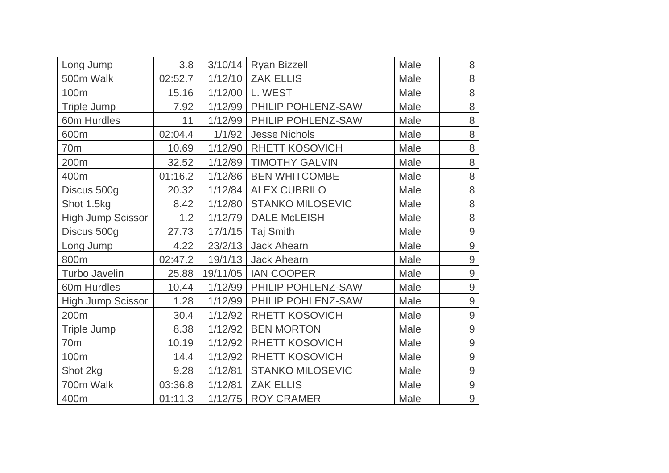| Long Jump                | 3.8     |          | $3/10/14$ Ryan Bizzell  | Male | 8              |
|--------------------------|---------|----------|-------------------------|------|----------------|
| 500m Walk                | 02:52.7 | 1/12/10  | <b>ZAK ELLIS</b>        | Male | 8              |
| 100m                     | 15.16   | 1/12/00  | L. WEST                 | Male | 8              |
| <b>Triple Jump</b>       | 7.92    | 1/12/99  | PHILIP POHLENZ-SAW      | Male | 8              |
| 60m Hurdles              | 11      | 1/12/99  | PHILIP POHLENZ-SAW      | Male | 8              |
| 600m                     | 02:04.4 | 1/1/92   | <b>Jesse Nichols</b>    | Male | 8              |
| 70 <sub>m</sub>          | 10.69   | 1/12/90  | <b>RHETT KOSOVICH</b>   | Male | $\, 8$         |
| 200m                     | 32.52   | 1/12/89  | <b>TIMOTHY GALVIN</b>   | Male | 8              |
| 400m                     | 01:16.2 | 1/12/86  | <b>BEN WHITCOMBE</b>    | Male | $\,8\,$        |
| Discus 500g              | 20.32   | 1/12/84  | <b>ALEX CUBRILO</b>     | Male | 8              |
| Shot 1.5kg               | 8.42    | 1/12/80  | <b>STANKO MILOSEVIC</b> | Male | 8              |
| <b>High Jump Scissor</b> | 1.2     | 1/12/79  | <b>DALE McLEISH</b>     | Male | 8              |
| Discus 500g              | 27.73   | 17/1/15  | <b>Taj Smith</b>        | Male | $\overline{9}$ |
| Long Jump                | 4.22    | 23/2/13  | <b>Jack Ahearn</b>      | Male | 9              |
| 800m                     | 02:47.2 | 19/1/13  | <b>Jack Ahearn</b>      | Male | $\overline{9}$ |
| <b>Turbo Javelin</b>     | 25.88   | 19/11/05 | <b>IAN COOPER</b>       | Male | $\overline{9}$ |
| 60m Hurdles              | 10.44   | 1/12/99  | PHILIP POHLENZ-SAW      | Male | 9              |
| <b>High Jump Scissor</b> | 1.28    | 1/12/99  | PHILIP POHLENZ-SAW      | Male | $\overline{9}$ |
| 200m                     | 30.4    | 1/12/92  | <b>RHETT KOSOVICH</b>   | Male | 9              |
| Triple Jump              | 8.38    | 1/12/92  | <b>BEN MORTON</b>       | Male | 9              |
| 70 <sub>m</sub>          | 10.19   | 1/12/92  | <b>RHETT KOSOVICH</b>   | Male | $\overline{9}$ |
| 100m                     | 14.4    | 1/12/92  | <b>RHETT KOSOVICH</b>   | Male | $\overline{9}$ |
| Shot 2kg                 | 9.28    | 1/12/81  | <b>STANKO MILOSEVIC</b> | Male | $\overline{9}$ |
| 700m Walk                | 03:36.8 | 1/12/81  | <b>ZAK ELLIS</b>        | Male | $\overline{9}$ |
| 400m                     | 01:11.3 |          | 1/12/75   ROY CRAMER    | Male | $\overline{9}$ |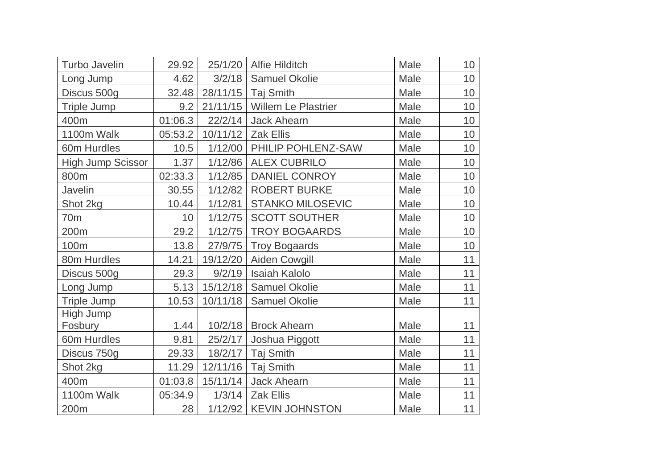| Turbo Javelin            | 29.92           |          | 25/1/20   Alfie Hilditch   | Male        | 10 |
|--------------------------|-----------------|----------|----------------------------|-------------|----|
| Long Jump                | 4.62            | 3/2/18   | Samuel Okolie              | Male        | 10 |
| Discus 500g              | 32.48           | 28/11/15 | Taj Smith                  | Male        | 10 |
| Triple Jump              | 9.2             | 21/11/15 | <b>Willem Le Plastrier</b> | Male        | 10 |
| 400m                     | 01:06.3         | 22/2/14  | <b>Jack Ahearn</b>         | Male        | 10 |
| 1100m Walk               | 05:53.2         | 10/11/12 | <b>Zak Ellis</b>           | Male        | 10 |
| 60m Hurdles              | 10.5            | 1/12/00  | PHILIP POHLENZ-SAW         | Male        | 10 |
| <b>High Jump Scissor</b> | 1.37            | 1/12/86  | <b>ALEX CUBRILO</b>        | <b>Male</b> | 10 |
| 800m                     | 02:33.3         | 1/12/85  | <b>DANIEL CONROY</b>       | Male        | 10 |
| Javelin                  | 30.55           | 1/12/82  | <b>ROBERT BURKE</b>        | Male        | 10 |
| Shot 2kg                 | 10.44           | 1/12/81  | <b>STANKO MILOSEVIC</b>    | Male        | 10 |
| 70 <sub>m</sub>          | 10 <sup>°</sup> | 1/12/75  | <b>SCOTT SOUTHER</b>       | Male        | 10 |
| 200m                     | 29.2            | 1/12/75  | <b>TROY BOGAARDS</b>       | Male        | 10 |
| 100m                     | 13.8            | 27/9/75  | <b>Troy Bogaards</b>       | Male        | 10 |
| 80m Hurdles              | 14.21           | 19/12/20 | Aiden Cowgill              | Male        | 11 |
| Discus 500g              | 29.3            | 9/2/19   | <b>Isaiah Kalolo</b>       | Male        | 11 |
| Long Jump                | 5.13            | 15/12/18 | <b>Samuel Okolie</b>       | Male        | 11 |
| <b>Triple Jump</b>       | 10.53           | 10/11/18 | <b>Samuel Okolie</b>       | Male        | 11 |
| High Jump                |                 |          |                            |             |    |
| Fosbury                  | 1.44            | 10/2/18  | <b>Brock Ahearn</b>        | Male        | 11 |
| 60m Hurdles              | 9.81            | 25/2/17  | Joshua Piggott             | Male        | 11 |
| Discus 750g              | 29.33           | 18/2/17  | <b>Taj Smith</b>           | Male        | 11 |
| Shot 2kg                 | 11.29           | 12/11/16 | <b>Taj Smith</b>           | Male        | 11 |
| 400m                     | 01:03.8         | 15/11/14 | <b>Jack Ahearn</b>         | Male        | 11 |
| 1100m Walk               | 05:34.9         | 1/3/14   | <b>Zak Ellis</b>           | Male        | 11 |
| 200m                     | 28              |          | 1/12/92   KEVIN JOHNSTON   | Male        | 11 |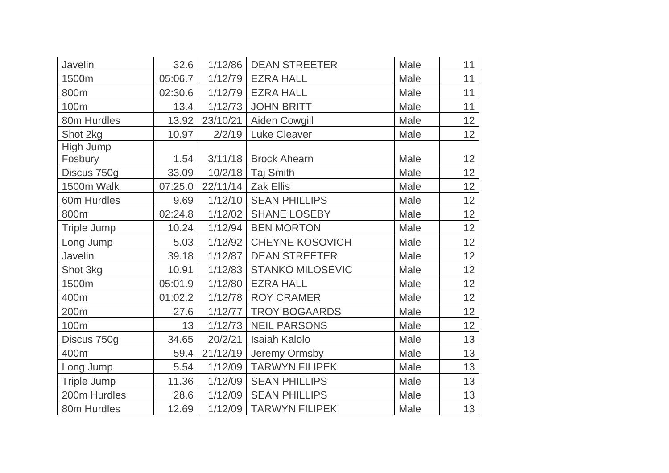| Javelin            | 32.6    | 1/12/86  | <b>DEAN STREETER</b>    | Male | 11 |
|--------------------|---------|----------|-------------------------|------|----|
| 1500m              | 05:06.7 | 1/12/79  | <b>EZRA HALL</b>        | Male | 11 |
| 800m               | 02:30.6 |          | 1/12/79   EZRA HALL     | Male | 11 |
| 100m               | 13.4    | 1/12/73  | <b>JOHN BRITT</b>       | Male | 11 |
| 80m Hurdles        | 13.92   | 23/10/21 | Aiden Cowgill           | Male | 12 |
| Shot 2kg           | 10.97   | 2/2/19   | <b>Luke Cleaver</b>     | Male | 12 |
| High Jump          |         |          |                         |      |    |
| Fosbury            | 1.54    |          | 3/11/18 Brock Ahearn    | Male | 12 |
| Discus 750g        | 33.09   | 10/2/18  | <b>Taj Smith</b>        | Male | 12 |
| 1500m Walk         | 07:25.0 | 22/11/14 | <b>Zak Ellis</b>        | Male | 12 |
| 60m Hurdles        | 9.69    | 1/12/10  | <b>SEAN PHILLIPS</b>    | Male | 12 |
| 800m               | 02:24.8 |          | 1/12/02   SHANE LOSEBY  | Male | 12 |
| <b>Triple Jump</b> | 10.24   | 1/12/94  | <b>BEN MORTON</b>       | Male | 12 |
| Long Jump          | 5.03    | 1/12/92  | <b>CHEYNE KOSOVICH</b>  | Male | 12 |
| Javelin            | 39.18   | 1/12/87  | <b>DEAN STREETER</b>    | Male | 12 |
| Shot 3kg           | 10.91   | 1/12/83  | <b>STANKO MILOSEVIC</b> | Male | 12 |
| 1500m              | 05:01.9 | 1/12/80  | <b>EZRA HALL</b>        | Male | 12 |
| 400m               | 01:02.2 | 1/12/78  | <b>ROY CRAMER</b>       | Male | 12 |
| 200m               | 27.6    | 1/12/77  | <b>TROY BOGAARDS</b>    | Male | 12 |
| 100m               | 13      | 1/12/73  | <b>NEIL PARSONS</b>     | Male | 12 |
| Discus 750g        | 34.65   | 20/2/21  | <b>Isaiah Kalolo</b>    | Male | 13 |
| 400m               | 59.4    | 21/12/19 | Jeremy Ormsby           | Male | 13 |
| Long Jump          | 5.54    | 1/12/09  | <b>TARWYN FILIPEK</b>   | Male | 13 |
| <b>Triple Jump</b> | 11.36   | 1/12/09  | <b>SEAN PHILLIPS</b>    | Male | 13 |
| 200m Hurdles       | 28.6    | 1/12/09  | <b>SEAN PHILLIPS</b>    | Male | 13 |
| 80m Hurdles        | 12.69   | 1/12/09  | <b>TARWYN FILIPEK</b>   | Male | 13 |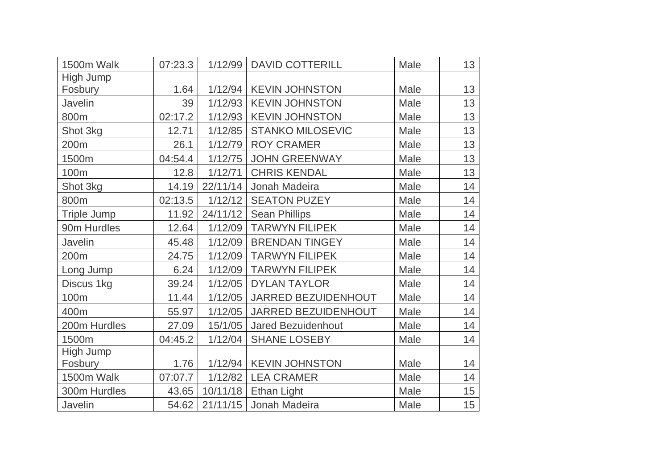| 1500m Walk         | 07:23.3 | 1/12/99  | <b>DAVID COTTERILL</b>    | Male | 13 |
|--------------------|---------|----------|---------------------------|------|----|
| High Jump          |         |          |                           |      |    |
| Fosbury            | 1.64    | 1/12/94  | <b>KEVIN JOHNSTON</b>     | Male | 13 |
| Javelin            | 39      | 1/12/93  | <b>KEVIN JOHNSTON</b>     | Male | 13 |
| 800m               | 02:17.2 | 1/12/93  | <b>KEVIN JOHNSTON</b>     | Male | 13 |
| Shot 3kg           | 12.71   | 1/12/85  | <b>STANKO MILOSEVIC</b>   | Male | 13 |
| 200m               | 26.1    | 1/12/79  | <b>ROY CRAMER</b>         | Male | 13 |
| 1500m              | 04:54.4 | 1/12/75  | <b>JOHN GREENWAY</b>      | Male | 13 |
| 100m               | 12.8    | 1/12/71  | <b>CHRIS KENDAL</b>       | Male | 13 |
| Shot 3kg           | 14.19   | 22/11/14 | Jonah Madeira             | Male | 14 |
| 800m               | 02:13.5 | 1/12/12  | <b>SEATON PUZEY</b>       | Male | 14 |
| <b>Triple Jump</b> | 11.92   | 24/11/12 | <b>Sean Phillips</b>      | Male | 14 |
| 90m Hurdles        | 12.64   | 1/12/09  | <b>TARWYN FILIPEK</b>     | Male | 14 |
| Javelin            | 45.48   | 1/12/09  | <b>BRENDAN TINGEY</b>     | Male | 14 |
| 200m               | 24.75   | 1/12/09  | <b>TARWYN FILIPEK</b>     | Male | 14 |
| Long Jump          | 6.24    | 1/12/09  | <b>TARWYN FILIPEK</b>     | Male | 14 |
| Discus 1kg         | 39.24   | 1/12/05  | <b>DYLAN TAYLOR</b>       | Male | 14 |
| 100m               | 11.44   | 1/12/05  | JARRED BEZUIDENHOUT       | Male | 14 |
| 400m               | 55.97   | 1/12/05  | JARRED BEZUIDENHOUT       | Male | 14 |
| 200m Hurdles       | 27.09   | 15/1/05  | <b>Jared Bezuidenhout</b> | Male | 14 |
| 1500m              | 04:45.2 | 1/12/04  | <b>SHANE LOSEBY</b>       | Male | 14 |
| High Jump          |         |          |                           |      |    |
| Fosbury            | 1.76    | 1/12/94  | <b>KEVIN JOHNSTON</b>     | Male | 14 |
| 1500m Walk         | 07:07.7 | 1/12/82  | <b>LEA CRAMER</b>         | Male | 14 |
| 300m Hurdles       | 43.65   | 10/11/18 | <b>Ethan Light</b>        | Male | 15 |
| Javelin            | 54.62   | 21/11/15 | Jonah Madeira             | Male | 15 |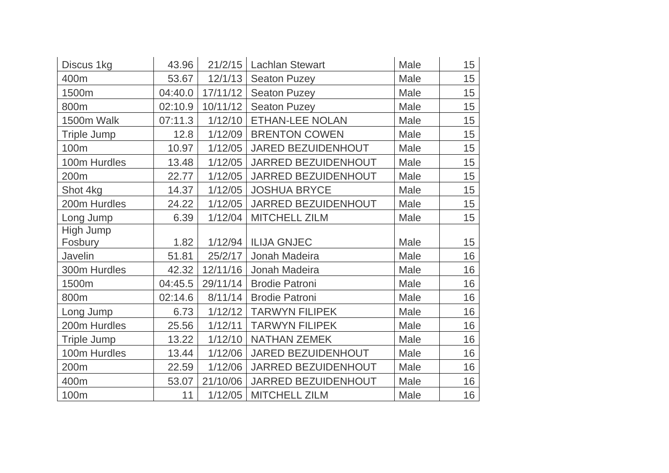| Discus 1kg         | 43.96   |          | 21/2/15   Lachlan Stewart | Male | 15 |
|--------------------|---------|----------|---------------------------|------|----|
| 400m               | 53.67   | 12/1/13  | <b>Seaton Puzey</b>       | Male | 15 |
| 1500m              | 04:40.0 | 17/11/12 | <b>Seaton Puzey</b>       | Male | 15 |
| 800m               | 02:10.9 | 10/11/12 | <b>Seaton Puzey</b>       | Male | 15 |
| 1500m Walk         | 07:11.3 | 1/12/10  | ETHAN-LEE NOLAN           | Male | 15 |
| <b>Triple Jump</b> | 12.8    | 1/12/09  | <b>BRENTON COWEN</b>      | Male | 15 |
| 100m               | 10.97   | 1/12/05  | JARED BEZUIDENHOUT        | Male | 15 |
| 100m Hurdles       | 13.48   | 1/12/05  | JARRED BEZUIDENHOUT       | Male | 15 |
| 200m               | 22.77   | 1/12/05  | JARRED BEZUIDENHOUT       | Male | 15 |
| Shot 4kg           | 14.37   | 1/12/05  | <b>JOSHUA BRYCE</b>       | Male | 15 |
| 200m Hurdles       | 24.22   | 1/12/05  | JARRED BEZUIDENHOUT       | Male | 15 |
| Long Jump          | 6.39    | 1/12/04  | <b>MITCHELL ZILM</b>      | Male | 15 |
| High Jump          |         |          |                           |      |    |
| Fosbury            | 1.82    | 1/12/94  | <b>ILIJA GNJEC</b>        | Male | 15 |
| Javelin            | 51.81   | 25/2/17  | Jonah Madeira             | Male | 16 |
| 300m Hurdles       | 42.32   | 12/11/16 | Jonah Madeira             | Male | 16 |
| 1500m              | 04:45.5 | 29/11/14 | <b>Brodie Patroni</b>     | Male | 16 |
| 800m               | 02:14.6 | 8/11/14  | <b>Brodie Patroni</b>     | Male | 16 |
| Long Jump          | 6.73    | 1/12/12  | <b>TARWYN FILIPEK</b>     | Male | 16 |
| 200m Hurdles       | 25.56   | 1/12/11  | <b>TARWYN FILIPEK</b>     | Male | 16 |
| <b>Triple Jump</b> | 13.22   | 1/12/10  | <b>NATHAN ZEMEK</b>       | Male | 16 |
| 100m Hurdles       | 13.44   | 1/12/06  | JARED BEZUIDENHOUT        | Male | 16 |
| 200m               | 22.59   | 1/12/06  | JARRED BEZUIDENHOUT       | Male | 16 |
| 400m               | 53.07   | 21/10/06 | JARRED BEZUIDENHOUT       | Male | 16 |
| 100m               | 11      |          | 1/12/05   MITCHELL ZILM   | Male | 16 |